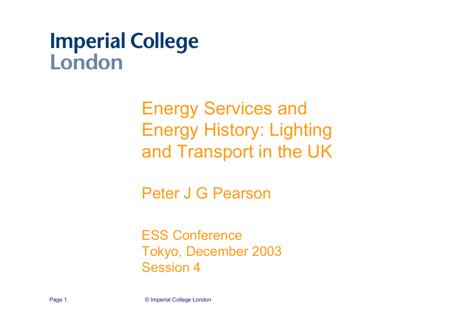# **Imperial College** London

Energy Services and Energy History: Lighting and Transport in the UK

Peter J G Pearson

ESS ConferenceTokyo, December 2003 Session 4

Page 1 © Imperial College London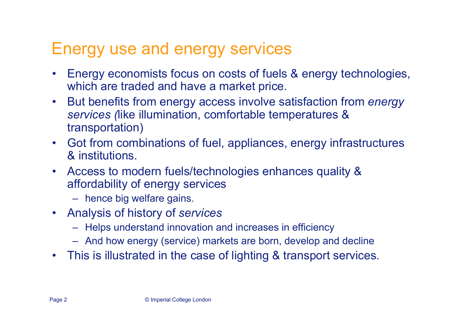### Energy use and energy services

- • Energy economists focus on costs of fuels & energy technologies, which are traded and have a market price.
- $\bullet$  But benefits from energy access involve satisfaction from *energy services (*like illumination, comfortable temperatures & transportation)
- Got from combinations of fuel, appliances, energy infrastructures & institutions.
- • Access to modern fuels/technologies enhances quality & affordability of energy services
	- hence big welfare gains.
- Analysis of history of *services*
	- Helps understand innovation and increases in efficiency
	- And how energy (service) markets are born, develop and decline
- $\bullet$ This is illustrated in the case of lighting & transport services.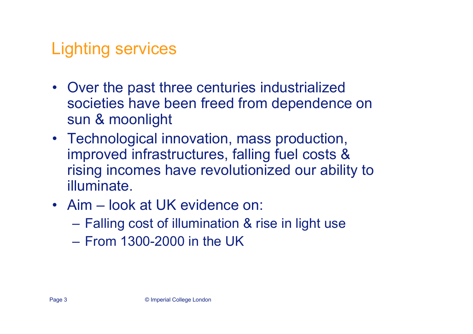## Lighting services

- Over the past three centuries industrialized societies have been freed from dependence on sun & moonlight
- Technological innovation, mass production, improved infrastructures, falling fuel costs & rising incomes have revolutionized our ability to illuminate.
- Aim look at UK evidence on:
	- Falling cost of illumination & rise in light use
	- From 1300-2000 in the UK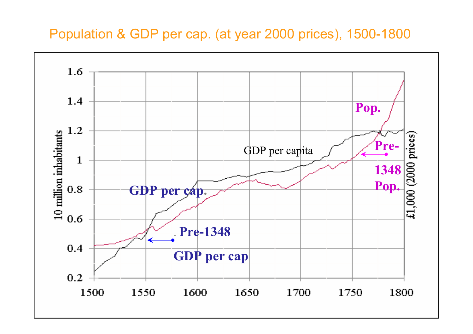#### Population & GDP per cap. (at year 2000 prices), 1500-1800

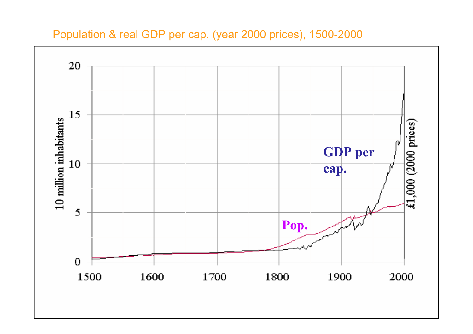Population & real GDP per cap. (year 2000 prices), 1500-2000

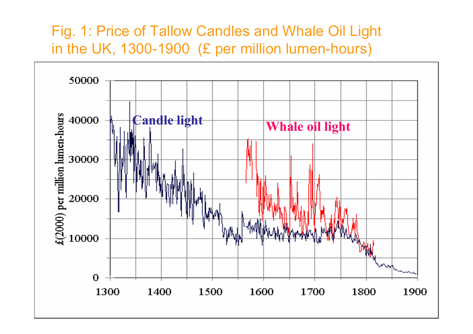#### Fig. 1: Price of Tallow Candles and Whale Oil Light in the UK, 1300-1900 (£ per million lumen-hours)

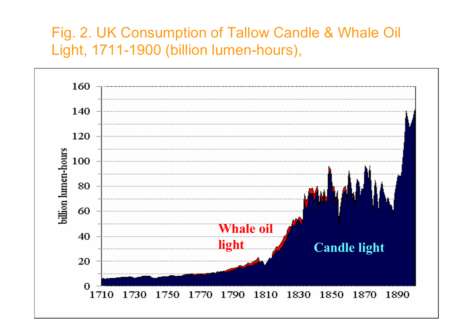#### Fig. 2. UK Consumption of Tallow Candle & Whale Oil Light, 1711-1900 (billion lumen-hours),

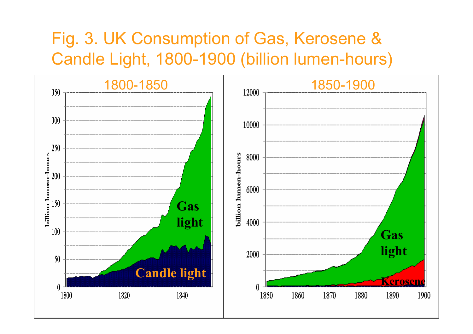### Fig. 3. UK Consumption of Gas, Kerosene & Candle Light, 1800-1900 (billion lumen-hours)

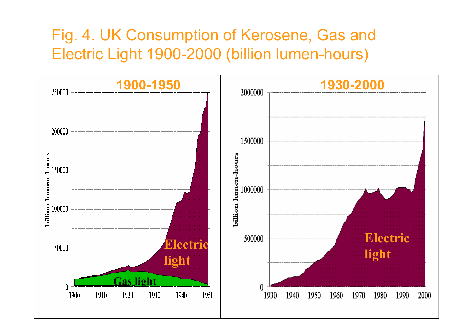### Fig. 4. UK Consumption of Kerosene, Gas and Electric Light 1900-2000 (billion lumen-hours)

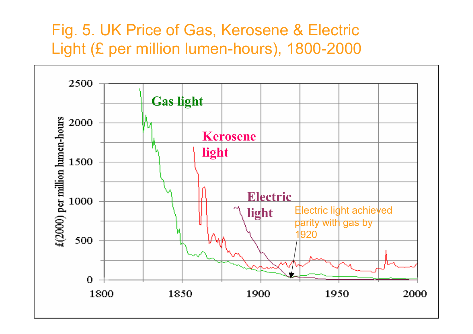### Fig. 5. UK Price of Gas, Kerosene & Electric Light (£ per million lumen-hours), 1800-2000

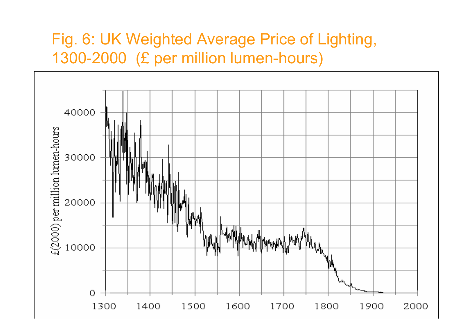### Fig. 6: UK Weighted Average Price of Lighting, 1300-2000 (£ per million lumen-hours)

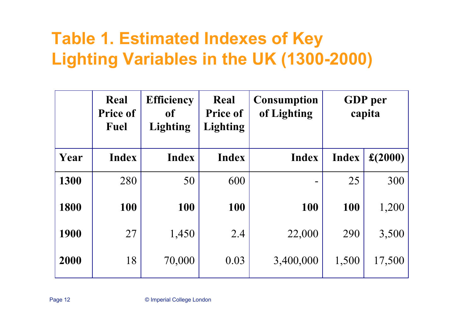## **Table 1. Estimated Indexes of Key Lighting Variables in the UK (1300-2000)**

|      | Real<br><b>Price of</b><br><b>Fuel</b> | <b>Efficiency</b><br><b>of</b><br><b>Lighting</b> | Real<br><b>Price of</b><br><b>Lighting</b> | <b>Consumption</b><br>of Lighting | <b>GDP</b> per<br>capita |                 |
|------|----------------------------------------|---------------------------------------------------|--------------------------------------------|-----------------------------------|--------------------------|-----------------|
| Year | <b>Index</b>                           | <b>Index</b>                                      | <b>Index</b>                               | <b>Index</b>                      | <b>Index</b>             | $\pounds(2000)$ |
| 1300 | 280                                    | 50                                                | 600                                        |                                   | 25                       | 300             |
| 1800 | 100                                    | 100                                               | 100                                        | 100                               | 100                      | 1,200           |
| 1900 | 27                                     | 1,450                                             | 2.4                                        | 22,000                            | 290                      | 3,500           |
| 2000 | 18                                     | 70,000                                            | 0.03                                       | 3,400,000                         | 1,500                    | 17,500          |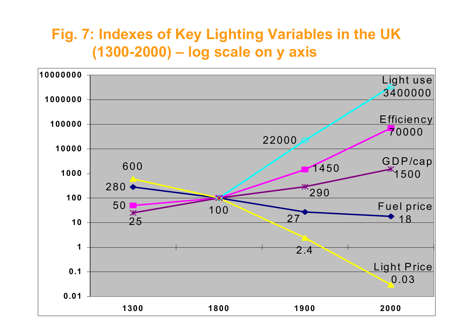#### **Fig. 7: Indexes of Key Lighting Variables in the UK (1300-2000) – log scale on y axis**

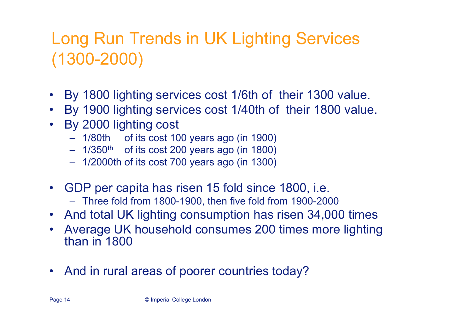## Long Run Trends in UK Lighting Services (1300-2000)

- •By 1800 lighting services cost 1/6th of their 1300 value.
- •By 1900 lighting services cost 1/40th of their 1800 value.
- $\bullet$  By 2000 lighting cost
	- 1/80th of its cost 100 years ago (in 1900)
	- $\,$  1/350 $^{\rm th}$   $\,$  of its cost 200 years ago (in 1800)
	- 1/2000th of its cost 700 years ago (in 1300)
- GDP per capita has risen 15 fold since 1800, i.e.
	- Three fold from 1800-1900, then five fold from 1900-2000
- And total UK lighting consumption has risen 34,000 times
- $\bullet$  Average UK household consumes 200 times more lighting than in 1800
- $\bullet$ And in rural areas of poorer countries today?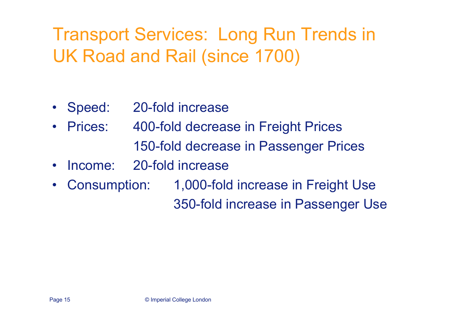## Transport Services: Long Run Trends in UK Road and Rail (since 1700)

- •Speed: 20-fold increase
- • Prices: 400-fold decrease in Freight Prices 150-fold decrease in Passenger Prices
- •Income: 20-fold increase
- • Consumption: 1,000-fold increase in Freight Use 350-fold increase in Passenger Use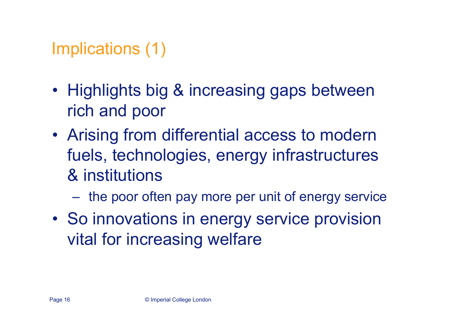### Implications (1)

- Highlights big & increasing gaps between rich and poor
- Arising from differential access to modern fuels, technologies, energy infrastructures & institutions
	- the poor often pay more per unit of energy service
- So innovations in energy service provision vital for increasing welfare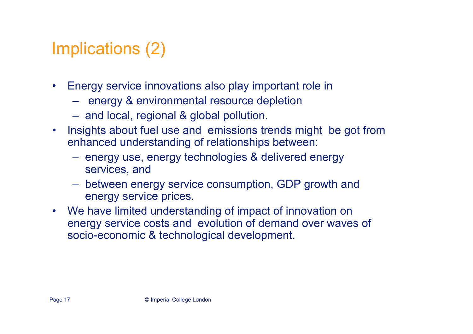## Implications (2)

- $\bullet$  Energy service innovations also play important role in
	- $-$  energy & environmental resource depletion
	- $-$  and local, regional & global pollution.
- $\bullet$  Insights about fuel use and emissions trends might be got from enhanced understanding of relationships between:
	- $-$  energy use, energy technologies & delivered energy services, and
	- between energy service consumption, GDP growth and energy service prices.
- We have limited understanding of impact of innovation on energy service costs and evolution of demand over waves of socio-economic & technological development.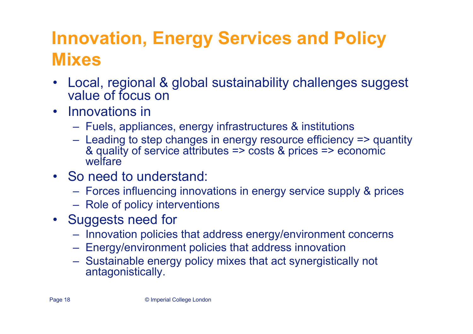# **Innovation, Energy Services and Policy Mixes**

- • Local, regional & global sustainability challenges suggest value of focus on
- Innovations in
	- Fuels, appliances, energy infrastructures & institutions
	- Leading to step changes in energy resource efficiency => quantity & quality of service attributes => costs & prices => economic welfare
- So need to understand:
	- Forces influencing innovations in energy service supply & prices
	- $-$  Role of policy interventions
- Suggests need for
	- $-$  Innovation policies that address energy/environment concerns
	- Energy/environment policies that address innovation
	- Sustainable energy policy mixes that act synergistically not antagonistically.